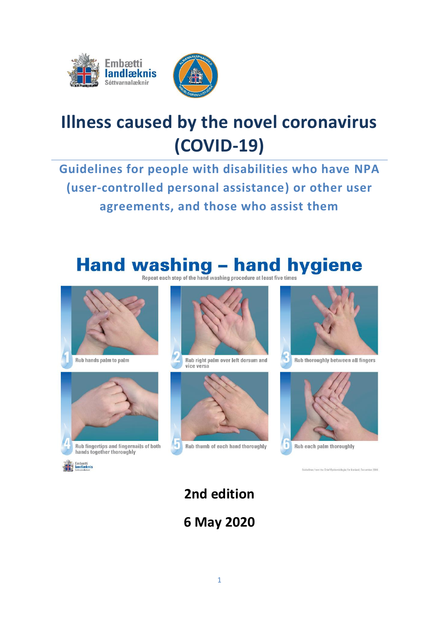



# **Illness caused by the novel coronavirus (COVID-19)**

**Guidelines for people with disabilities who have NPA (user-controlled personal assistance) or other user agreements, and those who assist them**

# Hand washing - hand hygiene









Rub right palm over left dorsum and vice versa





Rub thoroughly between all fingers



Rub each palm thoroughly

es from the Chief Epidemiologist for Iceland, December 2016

# **2nd edition 6 May 2020**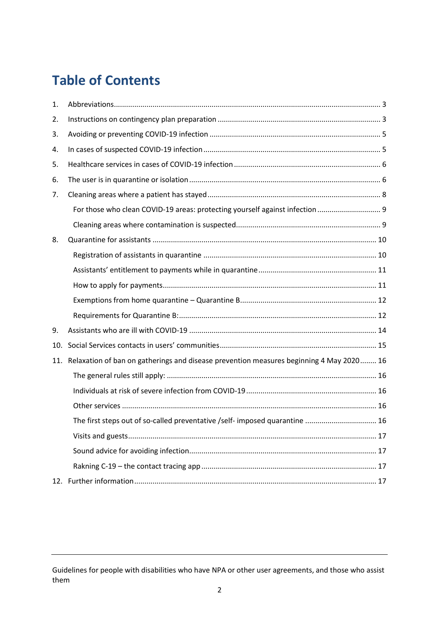### **Table of Contents**

| 1.  |                                                                                         |
|-----|-----------------------------------------------------------------------------------------|
| 2.  |                                                                                         |
| 3.  |                                                                                         |
| 4.  |                                                                                         |
| 5.  |                                                                                         |
| 6.  |                                                                                         |
| 7.  |                                                                                         |
|     | For those who clean COVID-19 areas: protecting yourself against infection  9            |
|     |                                                                                         |
| 8.  |                                                                                         |
|     |                                                                                         |
|     |                                                                                         |
|     |                                                                                         |
|     |                                                                                         |
|     |                                                                                         |
| 9.  |                                                                                         |
| 10. |                                                                                         |
| 11. | Relaxation of ban on gatherings and disease prevention measures beginning 4 May 2020 16 |
|     |                                                                                         |
|     |                                                                                         |
|     |                                                                                         |
|     | The first steps out of so-called preventative /self- imposed quarantine  16             |
|     |                                                                                         |
|     |                                                                                         |
|     |                                                                                         |
|     |                                                                                         |

Guidelines for people with disabilities who have NPA or other user agreements, and those who assist them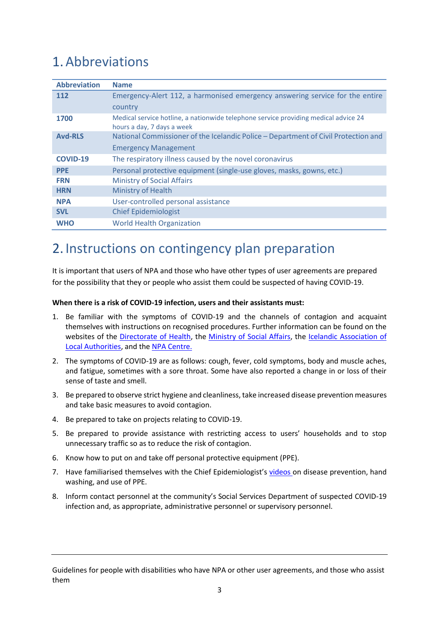### <span id="page-2-0"></span>1.Abbreviations

| <b>Abbreviation</b> | <b>Name</b>                                                                                                       |
|---------------------|-------------------------------------------------------------------------------------------------------------------|
| 112                 | Emergency-Alert 112, a harmonised emergency answering service for the entire                                      |
|                     | country                                                                                                           |
| 1700                | Medical service hotline, a nationwide telephone service providing medical advice 24<br>hours a day, 7 days a week |
| <b>Avd-RLS</b>      | National Commissioner of the Icelandic Police - Department of Civil Protection and                                |
|                     | <b>Emergency Management</b>                                                                                       |
| <b>COVID-19</b>     | The respiratory illness caused by the novel coronavirus                                                           |
| <b>PPE</b>          | Personal protective equipment (single-use gloves, masks, gowns, etc.)                                             |
| <b>FRN</b>          | <b>Ministry of Social Affairs</b>                                                                                 |
| <b>HRN</b>          | Ministry of Health                                                                                                |
| <b>NPA</b>          | User-controlled personal assistance                                                                               |
| <b>SVL</b>          | <b>Chief Epidemiologist</b>                                                                                       |
| <b>WHO</b>          | <b>World Health Organization</b>                                                                                  |

### <span id="page-2-1"></span>2. Instructions on contingency plan preparation

It is important that users of NPA and those who have other types of user agreements are prepared for the possibility that they or people who assist them could be suspected of having COVID-19.

#### **When there is a risk of COVID-19 infection, users and their assistants must:**

- 1. Be familiar with the symptoms of COVID-19 and the channels of contagion and acquaint themselves with instructions on recognised procedures. Further information can be found on the websites of the [Directorate of Health,](https://www.landlaeknir.is/koronaveira/) the [Ministry of Social Affairs,](https://www.stjornarradid.is/raduneyti/felagsmalaraduneytid/) the [Icelandic Association of](https://www.samband.is/)  [Local Authorities,](https://www.samband.is/) and the [NPA Centre.](https://www.npa.is/index.php/covid)
- 2. The symptoms of COVID-19 are as follows: cough, fever, cold symptoms, body and muscle aches, and fatigue, sometimes with a sore throat. Some have also reported a change in or loss of their sense of taste and smell.
- 3. Be prepared to observe strict hygiene and cleanliness, take increased disease prevention measures and take basic measures to avoid contagion.
- 4. Be prepared to take on projects relating to COVID-19.
- 5. Be prepared to provide assistance with restricting access to users' households and to stop unnecessary traffic so as to reduce the risk of contagion.
- 6. Know how to put on and take off personal protective equipment (PPE).
- 7. Have familiarised themselves with the Chief Epidemiologist's [videos](https://www.landlaeknir.is/smit-og-sottvarnir/sykingavarnir-innan-heilbrigdisthjonustu/myndbond-sottvarnir/) on disease prevention, hand washing, and use of PPE.
- 8. Inform contact personnel at the community's Social Services Department of suspected COVID-19 infection and, as appropriate, administrative personnel or supervisory personnel.

Guidelines for people with disabilities who have NPA or other user agreements, and those who assist them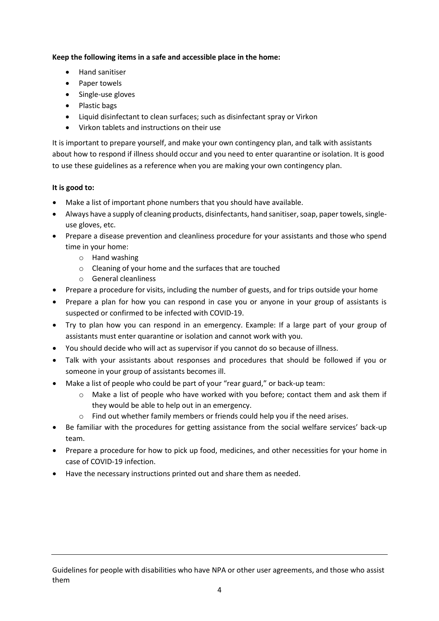#### **Keep the following items in a safe and accessible place in the home:**

- Hand sanitiser
- Paper towels
- Single-use gloves
- Plastic bags
- Liquid disinfectant to clean surfaces; such as disinfectant spray or Virkon
- Virkon tablets and instructions on their use

It is important to prepare yourself, and make your own contingency plan, and talk with assistants about how to respond if illness should occur and you need to enter quarantine or isolation. It is good to use these guidelines as a reference when you are making your own contingency plan.

#### **It is good to:**

- Make a list of important phone numbers that you should have available.
- Always have a supply of cleaning products, disinfectants, hand sanitiser, soap, paper towels, singleuse gloves, etc.
- Prepare a disease prevention and cleanliness procedure for your assistants and those who spend time in your home:
	- o Hand washing
	- o Cleaning of your home and the surfaces that are touched
	- o General cleanliness
- Prepare a procedure for visits, including the number of guests, and for trips outside your home
- Prepare a plan for how you can respond in case you or anyone in your group of assistants is suspected or confirmed to be infected with COVID-19.
- Try to plan how you can respond in an emergency. Example: If a large part of your group of assistants must enter quarantine or isolation and cannot work with you.
- You should decide who will act as supervisor if you cannot do so because of illness.
- Talk with your assistants about responses and procedures that should be followed if you or someone in your group of assistants becomes ill.
- Make a list of people who could be part of your "rear guard," or back-up team:
	- $\circ$  Make a list of people who have worked with you before; contact them and ask them if they would be able to help out in an emergency.
	- o Find out whether family members or friends could help you if the need arises.
- Be familiar with the procedures for getting assistance from the social welfare services' back-up team.
- Prepare a procedure for how to pick up food, medicines, and other necessities for your home in case of COVID-19 infection.
- Have the necessary instructions printed out and share them as needed.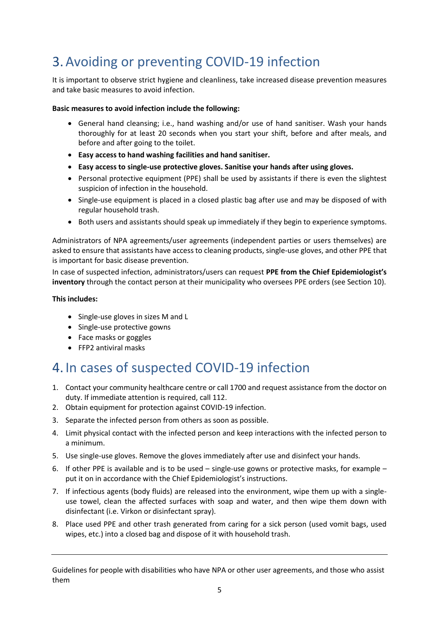### <span id="page-4-0"></span>3.Avoiding or preventing COVID-19 infection

It is important to observe strict hygiene and cleanliness, take increased disease prevention measures and take basic measures to avoid infection.

#### **Basic measures to avoid infection include the following:**

- General hand cleansing; i.e., hand washing and/or use of hand sanitiser. Wash your hands thoroughly for at least 20 seconds when you start your shift, before and after meals, and before and after going to the toilet.
- **Easy access to hand washing facilities and hand sanitiser.**
- **Easy access to single-use protective gloves. Sanitise your hands after using gloves.**
- Personal protective equipment (PPE) shall be used by assistants if there is even the slightest suspicion of infection in the household.
- Single-use equipment is placed in a closed plastic bag after use and may be disposed of with regular household trash.
- Both users and assistants should speak up immediately if they begin to experience symptoms.

Administrators of NPA agreements/user agreements (independent parties or users themselves) are asked to ensure that assistants have access to cleaning products, single-use gloves, and other PPE that is important for basic disease prevention.

In case of suspected infection, administrators/users can request **PPE from the Chief Epidemiologist's inventory** through the contact person at their municipality who oversees PPE orders (see Section 10).

#### **This includes:**

- Single-use gloves in sizes M and L
- Single-use protective gowns
- Face masks or goggles
- FFP2 antiviral masks

### <span id="page-4-1"></span>4. In cases of suspected COVID-19 infection

- 1. Contact your community healthcare centre or call 1700 and request assistance from the doctor on duty. If immediate attention is required, call 112.
- 2. Obtain equipment for protection against COVID-19 infection.
- 3. Separate the infected person from others as soon as possible.
- 4. Limit physical contact with the infected person and keep interactions with the infected person to a minimum.
- 5. Use single-use gloves. Remove the gloves immediately after use and disinfect your hands.
- 6. If other PPE is available and is to be used single-use gowns or protective masks, for example put it on in accordance with the Chief Epidemiologist's instructions.
- 7. If infectious agents (body fluids) are released into the environment, wipe them up with a singleuse towel, clean the affected surfaces with soap and water, and then wipe them down with disinfectant (i.e. Virkon or disinfectant spray).
- 8. Place used PPE and other trash generated from caring for a sick person (used vomit bags, used wipes, etc.) into a closed bag and dispose of it with household trash.

Guidelines for people with disabilities who have NPA or other user agreements, and those who assist them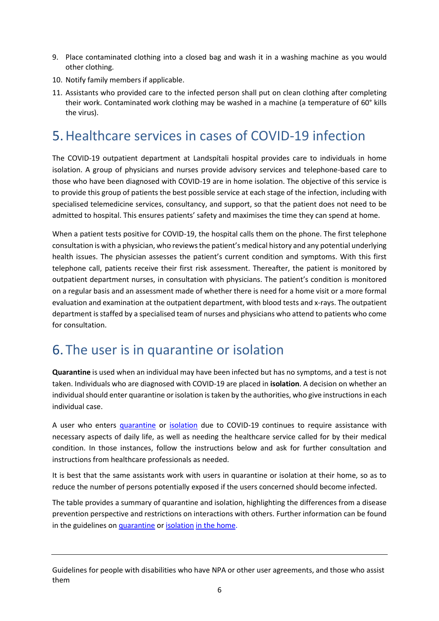- 9. Place contaminated clothing into a closed bag and wash it in a washing machine as you would other clothing.
- 10. Notify family members if applicable.
- 11. Assistants who provided care to the infected person shall put on clean clothing after completing their work. Contaminated work clothing may be washed in a machine (a temperature of 60° kills the virus).

### <span id="page-5-0"></span>5.Healthcare services in cases of COVID-19 infection

The COVID-19 outpatient department at Landspítali hospital provides care to individuals in home isolation. A group of physicians and nurses provide advisory services and telephone-based care to those who have been diagnosed with COVID-19 are in home isolation. The objective of this service is to provide this group of patients the best possible service at each stage of the infection, including with specialised telemedicine services, consultancy, and support, so that the patient does not need to be admitted to hospital. This ensures patients' safety and maximises the time they can spend at home.

When a patient tests positive for COVID-19, the hospital calls them on the phone. The first telephone consultation is with a physician, who reviews the patient's medical history and any potential underlying health issues. The physician assesses the patient's current condition and symptoms. With this first telephone call, patients receive their first risk assessment. Thereafter, the patient is monitored by outpatient department nurses, in consultation with physicians. The patient's condition is monitored on a regular basis and an assessment made of whether there is need for a home visit or a more formal evaluation and examination at the outpatient department, with blood tests and x-rays. The outpatient department is staffed by a specialised team of nurses and physicians who attend to patients who come for consultation.

### <span id="page-5-1"></span>6. The user is in quarantine or isolation

**Quarantine** is used when an individual may have been infected but has no symptoms, and a test is not taken. Individuals who are diagnosed with COVID-19 are placed in **isolation**. A decision on whether an individual should enter quarantine or isolation is taken by the authorities, who give instructions in each individual case.

A user who enters [quarantine](https://www.landlaeknir.is/servlet/file/store93/item38990/GA%20Lei%C3%B0beiningar%20fyrir%20almenning%20um%20s%C3%B3ttkv%C3%AD%20%C3%AD%20heimah%C3%BAsi.pdf) or [isolation](https://www.landlaeknir.is/servlet/file/store93/item38989/Lei%C3%B0beiningar%20fyrir%20almenning%20var%C3%B0andi%20einangrun%20%C3%AD%20heimah%C3%BAsi%2024032020.pdf) due to COVID-19 continues to require assistance with necessary aspects of daily life, as well as needing the healthcare service called for by their medical condition. In those instances, follow the instructions below and ask for further consultation and instructions from healthcare professionals as needed.

It is best that the same assistants work with users in quarantine or isolation at their home, so as to reduce the number of persons potentially exposed if the users concerned should become infected.

The table provides a summary of quarantine and isolation, highlighting the differences from a disease prevention perspective and restrictions on interactions with others. Further information can be found in the guidelines on [quarantine](https://www.landlaeknir.is/servlet/file/store93/item38990/GA%20Lei%C3%B0beiningar%20fyrir%20almenning%20um%20s%C3%B3ttkv%C3%AD%20%C3%AD%20heimah%C3%BAsi.pdf) or [isolation](https://www.landlaeknir.is/servlet/file/store93/item38989/Lei%C3%B0beiningar%20fyrir%20almenning%20var%C3%B0andi%20einangrun%20%C3%AD%20heimah%C3%BAsi%2024032020.pdf) in the home.

Guidelines for people with disabilities who have NPA or other user agreements, and those who assist them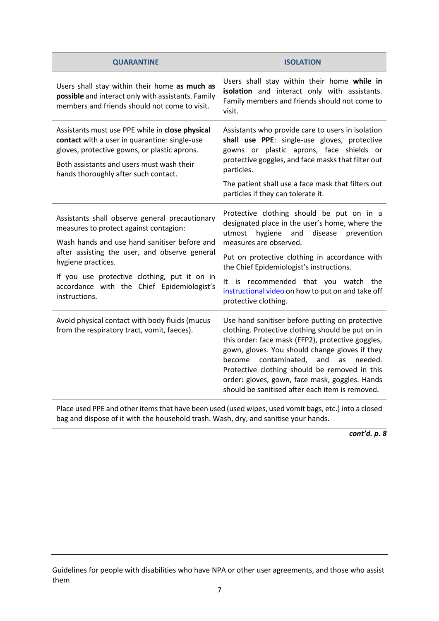| <b>QUARANTINE</b>                                                                                                                                                                                                                                                                                                              | <b>ISOLATION</b>                                                                                                                                                                                                                                                                                                                                                                                                     |
|--------------------------------------------------------------------------------------------------------------------------------------------------------------------------------------------------------------------------------------------------------------------------------------------------------------------------------|----------------------------------------------------------------------------------------------------------------------------------------------------------------------------------------------------------------------------------------------------------------------------------------------------------------------------------------------------------------------------------------------------------------------|
| Users shall stay within their home as much as<br>possible and interact only with assistants. Family<br>members and friends should not come to visit.                                                                                                                                                                           | Users shall stay within their home while in<br>isolation and interact only with assistants.<br>Family members and friends should not come to<br>visit.                                                                                                                                                                                                                                                               |
| Assistants must use PPE while in close physical<br>contact with a user in quarantine: single-use<br>gloves, protective gowns, or plastic aprons.<br>Both assistants and users must wash their<br>hands thoroughly after such contact.                                                                                          | Assistants who provide care to users in isolation<br>shall use PPE: single-use gloves, protective<br>gowns or plastic aprons, face shields or<br>protective goggles, and face masks that filter out<br>particles.<br>The patient shall use a face mask that filters out<br>particles if they can tolerate it.                                                                                                        |
| Assistants shall observe general precautionary<br>measures to protect against contagion:<br>Wash hands and use hand sanitiser before and<br>after assisting the user, and observe general<br>hygiene practices.<br>If you use protective clothing, put it on in<br>accordance with the Chief Epidemiologist's<br>instructions. | Protective clothing should be put on in a<br>designated place in the user's home, where the<br>and<br>disease<br>utmost<br>hygiene<br>prevention<br>measures are observed.<br>Put on protective clothing in accordance with<br>the Chief Epidemiologist's instructions.<br>It is recommended that you watch the<br>instructional video on how to put on and take off<br>protective clothing.                         |
| Avoid physical contact with body fluids (mucus<br>from the respiratory tract, vomit, faeces).                                                                                                                                                                                                                                  | Use hand sanitiser before putting on protective<br>clothing. Protective clothing should be put on in<br>this order: face mask (FFP2), protective goggles,<br>gown, gloves. You should change gloves if they<br>contaminated,<br>become<br>and<br>needed.<br>as<br>Protective clothing should be removed in this<br>order: gloves, gown, face mask, goggles. Hands<br>should be sanitised after each item is removed. |

Place used PPE and other items that have been used (used wipes, used vomit bags, etc.) into a closed bag and dispose of it with the household trash. Wash, dry, and sanitise your hands.

*cont'd. p. 8*

Guidelines for people with disabilities who have NPA or other user agreements, and those who assist them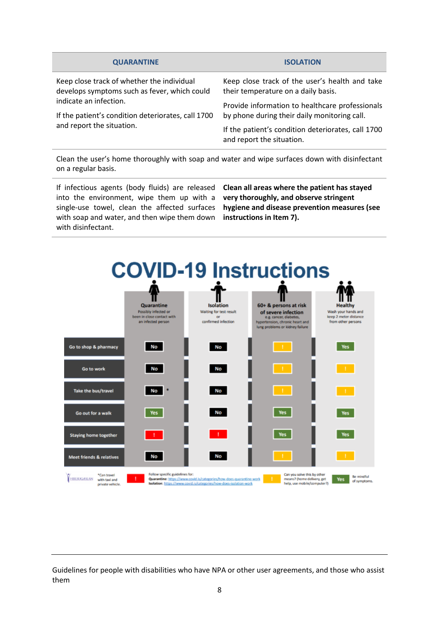| <b>QUARANTINE</b>                                                                                                                                                                                       | <b>ISOLATION</b>                                                                                |
|---------------------------------------------------------------------------------------------------------------------------------------------------------------------------------------------------------|-------------------------------------------------------------------------------------------------|
| Keep close track of whether the individual<br>develops symptoms such as fever, which could<br>indicate an infection.<br>If the patient's condition deteriorates, call 1700<br>and report the situation. | Keep close track of the user's health and take<br>their temperature on a daily basis.           |
|                                                                                                                                                                                                         | Provide information to healthcare professionals<br>by phone during their daily monitoring call. |
|                                                                                                                                                                                                         | If the patient's condition deteriorates, call 1700<br>and report the situation.                 |
|                                                                                                                                                                                                         |                                                                                                 |

Clean the user's home thoroughly with soap and water and wipe surfaces down with disinfectant on a regular basis.

If infectious agents (body fluids) are released into the environment, wipe them up with a single-use towel, clean the affected surfaces with soap and water, and then wipe them down with disinfectant.

**Clean all areas where the patient has stayed very thoroughly, and observe stringent hygiene and disease prevention measures (see instructions in Item 7).** 

<span id="page-7-0"></span>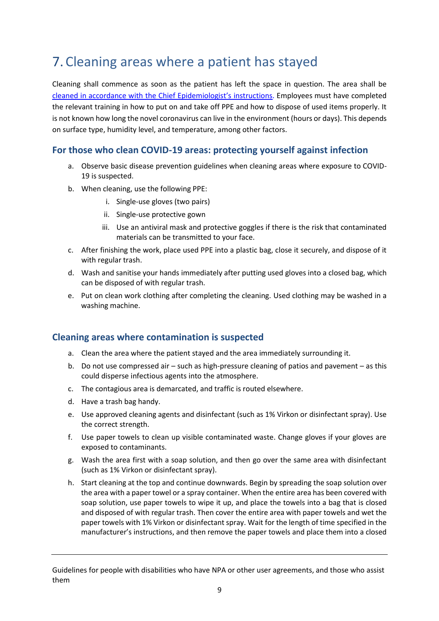### 7.Cleaning areas where a patient has stayed

Cleaning shall commence as soon as the patient has left the space in question. The area shall be cleaned in accordanc[e with the Chief Epidemiologist's instruct](https://www.landlaeknir.is/servlet/file/store93/item38919/Lei%C3%B0beiningar-framl%C3%ADnustarfsmenn%2010032020_KSJ-IM.pdf)ions. Employees must have completed the relevant training in how to put on and take off PPE and how to dispose of used items properly. It is not known how long the novel coronavirus can live in the environment (hours or days). This depends on surface type, humidity level, and temperature, among other factors.

#### <span id="page-8-0"></span>**For those who clean COVID-19 areas: protecting yourself against infection**

- a. Observe basic disease prevention guidelines when cleaning areas where exposure to COVID-19 is suspected.
- b. When cleaning, use the following PPE:
	- i. Single-use gloves (two pairs)
	- ii. Single-use protective gown
	- iii. Use an antiviral mask and protective goggles if there is the risk that contaminated materials can be transmitted to your face.
- c. After finishing the work, place used PPE into a plastic bag, close it securely, and dispose of it with regular trash.
- d. Wash and sanitise your hands immediately after putting used gloves into a closed bag, which can be disposed of with regular trash.
- e. Put on clean work clothing after completing the cleaning. Used clothing may be washed in a washing machine.

#### <span id="page-8-1"></span>**Cleaning areas where contamination is suspected**

- a. Clean the area where the patient stayed and the area immediately surrounding it.
- b. Do not use compressed air such as high-pressure cleaning of patios and pavement as this could disperse infectious agents into the atmosphere.
- c. The contagious area is demarcated, and traffic is routed elsewhere.
- d. Have a trash bag handy.
- e. Use approved cleaning agents and disinfectant (such as 1% Virkon or disinfectant spray). Use the correct strength.
- f. Use paper towels to clean up visible contaminated waste. Change gloves if your gloves are exposed to contaminants.
- g. Wash the area first with a soap solution, and then go over the same area with disinfectant (such as 1% Virkon or disinfectant spray).
- h. Start cleaning at the top and continue downwards. Begin by spreading the soap solution over the area with a paper towel or a spray container. When the entire area has been covered with soap solution, use paper towels to wipe it up, and place the towels into a bag that is closed and disposed of with regular trash. Then cover the entire area with paper towels and wet the paper towels with 1% Virkon or disinfectant spray. Wait for the length of time specified in the manufacturer's instructions, and then remove the paper towels and place them into a closed

Guidelines for people with disabilities who have NPA or other user agreements, and those who assist them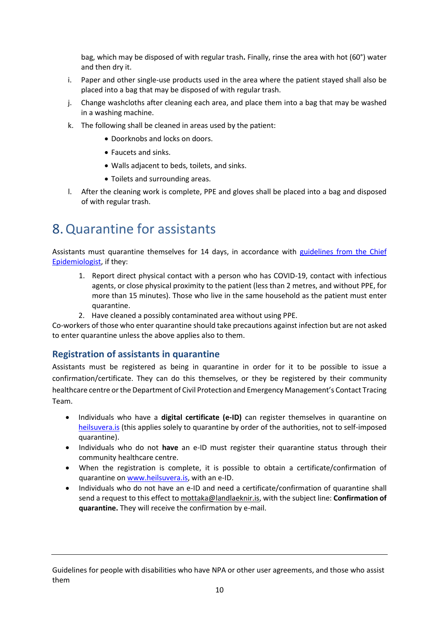bag, which may be disposed of with regular trash**.** Finally, rinse the area with hot (60°) water and then dry it.

- i. Paper and other single-use products used in the area where the patient stayed shall also be placed into a bag that may be disposed of with regular trash.
- j. Change washcloths after cleaning each area, and place them into a bag that may be washed in a washing machine.
- k. The following shall be cleaned in areas used by the patient:
	- Doorknobs and locks on doors.
	- Faucets and sinks.
	- Walls adjacent to beds, toilets, and sinks.
	- Toilets and surrounding areas.
- l. After the cleaning work is complete, PPE and gloves shall be placed into a bag and disposed of with regular trash.

### <span id="page-9-0"></span>8.Quarantine for assistants

Assistants must quarantine themselves for 14 days, in accordance with guidelines [from the Chief](https://www.landlaeknir.is/servlet/file/store93/item38990/GA%20Lei%C3%B0beiningar%20fyrir%20almenning%20um%20s%C3%B3ttkv%C3%AD%20%C3%AD%20heimah%C3%BAsi.pdf)  [Epidemiologist,](https://www.landlaeknir.is/servlet/file/store93/item38990/GA%20Lei%C3%B0beiningar%20fyrir%20almenning%20um%20s%C3%B3ttkv%C3%AD%20%C3%AD%20heimah%C3%BAsi.pdf) if they:

- 1. Report direct physical contact with a person who has COVID-19, contact with infectious agents, or close physical proximity to the patient (less than 2 metres, and without PPE, for more than 15 minutes). Those who live in the same household as the patient must enter quarantine.
- 2. Have cleaned a possibly contaminated area without using PPE.

Co-workers of those who enter quarantine should take precautions against infection but are not asked to enter quarantine unless the above applies also to them.

#### <span id="page-9-1"></span>**Registration of assistants in quarantine**

Assistants must be registered as being in quarantine in order for it to be possible to issue a confirmation/certificate. They can do this themselves, or they be registered by their community healthcare centre or the Department of Civil Protection and Emergency Management's Contact Tracing Team.

- Individuals who have a **digital certificate (e-ID)** can register themselves in quarantine on [heilsuvera.is](file://///emlmsfile01/Hopar$/Sottvorn/MERS-CoV/2020-kína%20lungnabólga/Júlíana/heilsuvera.is) (this applies solely to quarantine by order of the authorities, not to self-imposed quarantine).
- Individuals who do not **have** an e-ID must register their quarantine status through their community healthcare centre.
- When the registration is complete, it is possible to obtain a certificate/confirmation of quarantine on www.heilsuvera.is, with an e-ID.
- Individuals who do not have an e-ID and need a certificate/confirmation of quarantine shall send a request to this effect to [mottaka@landlaeknir.is,](mailto:mottaka@landlaeknir.is) with the subject line: **Confirmation of quarantine.** They will receive the confirmation by e-mail.

Guidelines for people with disabilities who have NPA or other user agreements, and those who assist them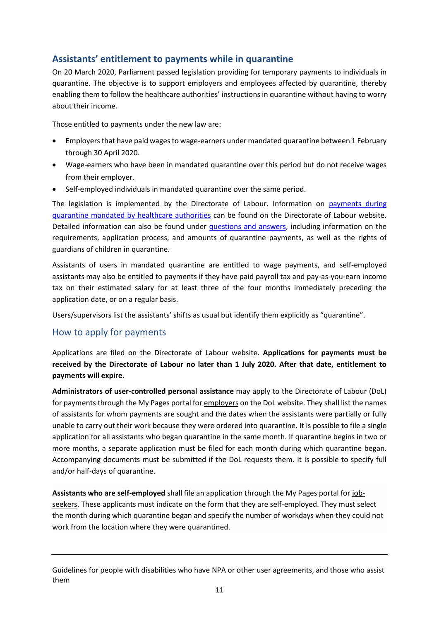#### <span id="page-10-0"></span>**Assistants' entitlement to payments while in quarantine**

On 20 March 2020, Parliament passed legislation providing for temporary payments to individuals in quarantine. The objective is to support employers and employees affected by quarantine, thereby enabling them to follow the healthcare authorities' instructions in quarantine without having to worry about their income.

Those entitled to payments under the new law are:

- Employers that have paid wages to wage-earners under mandated quarantine between 1 February through 30 April 2020.
- Wage-earners who have been in mandated quarantine over this period but do not receive wages from their employer.
- Self-employed individuals in mandated quarantine over the same period.

The legislation is implemented by the Directorate of Labour. Information on [payments during](https://vinnumalastofnun.is/upplysingar-vegna-covid-19/greidslur-i-sottkvi)  [quarantine mandated by healthcare authorities](https://vinnumalastofnun.is/upplysingar-vegna-covid-19/greidslur-i-sottkvi) can be found on the Directorate of Labour website. Detailed information can also be found under questions and answers, [including information on the](https://vinnumalastofnun.is/upplysingar-vegna-covid-19/spurt-og-svarad-vegna-covid-19/spurt-og-svarad-vegna-greidslna-i-sottkvi)  [requirements, application process, and amounts of quarantine payments, as well as](https://vinnumalastofnun.is/upplysingar-vegna-covid-19/spurt-og-svarad-vegna-covid-19/spurt-og-svarad-vegna-greidslna-i-sottkvi) the rights of [guardians of children in quarantine.](https://vinnumalastofnun.is/upplysingar-vegna-covid-19/spurt-og-svarad-vegna-covid-19/spurt-og-svarad-vegna-greidslna-i-sottkvi)

Assistants of users in mandated quarantine are entitled to wage payments, and self-employed assistants may also be entitled to payments if they have paid payroll tax and pay-as-you-earn income tax on their estimated salary for at least three of the four months immediately preceding the application date, or on a regular basis.

Users/supervisors list the assistants' shifts as usual but identify them explicitly as "quarantine".

#### <span id="page-10-1"></span>How to apply for payments

Applications are filed on the Directorate of Labour website. **Applications for payments must be received by the Directorate of Labour no later than 1 July 2020. After that date, entitlement to payments will expire.**

**Administrators of user-controlled personal assistance** may apply to the Directorate of Labour (DoL) for payments through the My Pages portal for employers on the DoL website. They shall list the names of assistants for whom payments are sought and the dates when the assistants were partially or fully unable to carry out their work because they were ordered into quarantine. It is possible to file a single application for all assistants who began quarantine in the same month. If quarantine begins in two or more months, a separate application must be filed for each month during which quarantine began. Accompanying documents must be submitted if the DoL requests them. It is possible to specify full and/or half-days of quarantine.

**Assistants who are self-employed** shall file an application through the My Pages portal for jobseekers. These applicants must indicate on the form that they are self-employed. They must select the month during which quarantine began and specify the number of workdays when they could not work from the location where they were quarantined.

Guidelines for people with disabilities who have NPA or other user agreements, and those who assist them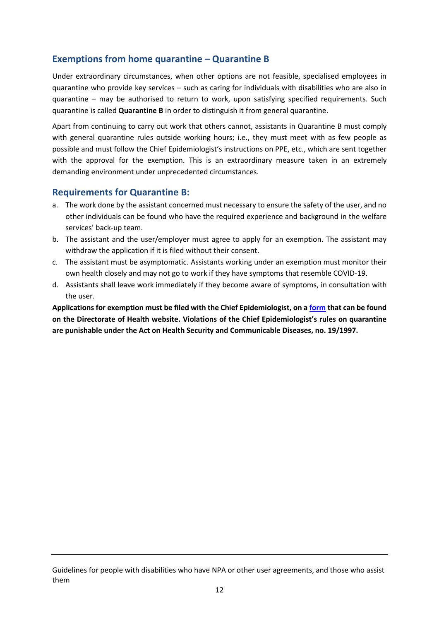#### <span id="page-11-0"></span>**Exemptions from home quarantine – Quarantine B**

Under extraordinary circumstances, when other options are not feasible, specialised employees in quarantine who provide key services – such as caring for individuals with disabilities who are also in quarantine – may be authorised to return to work, upon satisfying specified requirements. Such quarantine is called **Quarantine B** in order to distinguish it from general quarantine.

Apart from continuing to carry out work that others cannot, assistants in Quarantine B must comply with general quarantine rules outside working hours; i.e., they must meet with as few people as possible and must follow the Chief Epidemiologist's instructions on PPE, etc., which are sent together with the approval for the exemption. This is an extraordinary measure taken in an extremely demanding environment under unprecedented circumstances.

#### <span id="page-11-1"></span>**Requirements for Quarantine B:**

- a. The work done by the assistant concerned must necessary to ensure the safety of the user, and no other individuals can be found who have the required experience and background in the welfare services' back-up team.
- b. The assistant and the user/employer must agree to apply for an exemption. The assistant may withdraw the application if it is filed without their consent.
- c. The assistant must be asymptomatic. Assistants working under an exemption must monitor their own health closely and may not go to work if they have symptoms that resemble COVID-19.
- d. Assistants shall leave work immediately if they become aware of symptoms, in consultation with the user.

**Applications for exemption must be filed with the Chief Epidemiologist, on [a form](https://www.landlaeknir.is/utgefid-efni/skjal/item39949/) that can be found on the Directorate of Health website. Violations of the Chief Epidemiologist's rules on quarantine are punishable under the Act on Health Security and Communicable Diseases, no. 19/1997.**

Guidelines for people with disabilities who have NPA or other user agreements, and those who assist them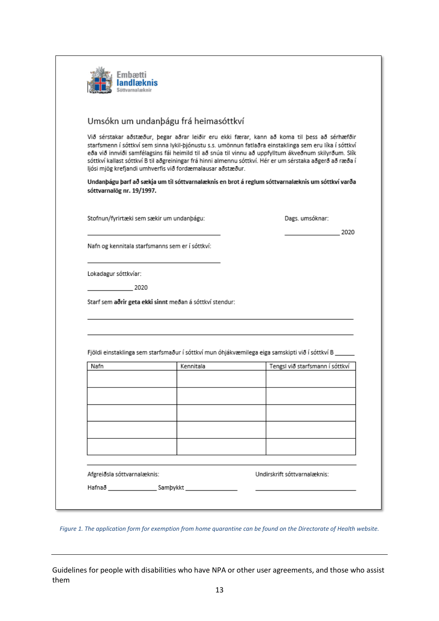| ·mhae1                    |                                                            |                                                                                                                                                                                                                                                                                                                                                                                                                                |
|---------------------------|------------------------------------------------------------|--------------------------------------------------------------------------------------------------------------------------------------------------------------------------------------------------------------------------------------------------------------------------------------------------------------------------------------------------------------------------------------------------------------------------------|
|                           | Umsókn um undanþágu frá heimasóttkví                       |                                                                                                                                                                                                                                                                                                                                                                                                                                |
|                           | ljósi mjög krefjandi umhverfis við fordæmalausar aðstæður. | Við sérstakar aðstæður, þegar aðrar leiðir eru ekki færar, kann að koma til þess að sérhæfðir<br>starfsmenn í sóttkví sem sinna lykil-þjónustu s.s. umönnun fatlaðra einstaklinga sem eru líka í sóttkví<br>eða við innviði samfélagsins fái heimild til að snúa til vinnu að uppfylltum ákveðnum skilyrðum. Slík<br>sóttkví kallast sóttkví B til aðgreiningar frá hinni almennu sóttkví. Hér er um sérstaka aðgerð að ræða í |
| sóttvarnalög nr. 19/1997. |                                                            | Undanþágu þarf að sækja um til sóttvarnalæknis en brot á reglum sóttvarnalæknis um sóttkví varða                                                                                                                                                                                                                                                                                                                               |
|                           | Stofnun/fyrirtæki sem sækir um undanþágu:                  | Dags. umsóknar:                                                                                                                                                                                                                                                                                                                                                                                                                |
|                           | Nafn og kennitala starfsmanns sem er í sóttkví:            | 2020                                                                                                                                                                                                                                                                                                                                                                                                                           |
| Lokadagur sóttkvíar:      |                                                            |                                                                                                                                                                                                                                                                                                                                                                                                                                |
| 2020                      |                                                            |                                                                                                                                                                                                                                                                                                                                                                                                                                |
|                           | Starf sem aðrir geta ekki sinnt meðan á sóttkví stendur:   |                                                                                                                                                                                                                                                                                                                                                                                                                                |
|                           |                                                            | Fjöldi einstaklinga sem starfsmaður í sóttkví mun óhjákvæmilega eiga samskipti við í sóttkví B_                                                                                                                                                                                                                                                                                                                                |
| Nafn                      | Kennitala                                                  | Tengsl við starfsmann í sóttkví                                                                                                                                                                                                                                                                                                                                                                                                |
|                           |                                                            |                                                                                                                                                                                                                                                                                                                                                                                                                                |
|                           |                                                            |                                                                                                                                                                                                                                                                                                                                                                                                                                |
|                           |                                                            |                                                                                                                                                                                                                                                                                                                                                                                                                                |
|                           |                                                            |                                                                                                                                                                                                                                                                                                                                                                                                                                |

| Afgreiðsla sóttvarnalæknis: |          | Undirskrift sóttvarnalæknis: |  |
|-----------------------------|----------|------------------------------|--|
| Hafnað                      | Sambykkt |                              |  |
|                             |          |                              |  |

*Figure 1. The application form for exemption from home quarantine can be found on the Directorate of Health website.*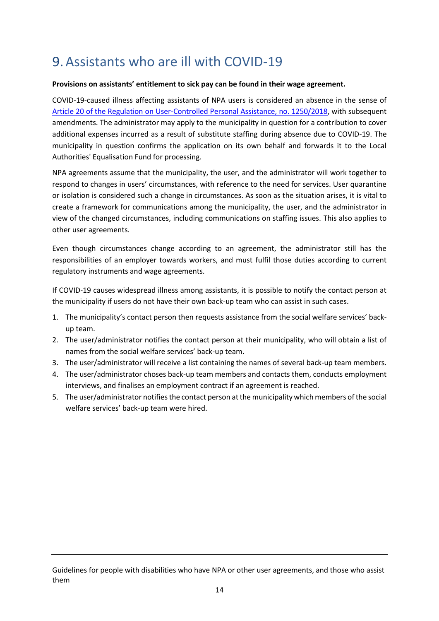### <span id="page-13-0"></span>9.Assistants who are ill with COVID-19

#### **Provisions on assistants' entitlement to sick pay can be found in their wage agreement.**

COVID-19-caused illness affecting assistants of NPA users is considered an absence in the sense of [Article 20 of the Regulation on User-Controlled Personal Assistance, no. 1250/2018,](https://www.reglugerd.is/reglugerdir/eftir-raduneytum/velferdarraduneyti/nr/21371) with subsequent amendments. The administrator may apply to the municipality in question for a contribution to cover additional expenses incurred as a result of substitute staffing during absence due to COVID-19. The municipality in question confirms the application on its own behalf and forwards it to the Local Authorities' Equalisation Fund for processing.

NPA agreements assume that the municipality, the user, and the administrator will work together to respond to changes in users' circumstances, with reference to the need for services. User quarantine or isolation is considered such a change in circumstances. As soon as the situation arises, it is vital to create a framework for communications among the municipality, the user, and the administrator in view of the changed circumstances, including communications on staffing issues. This also applies to other user agreements.

Even though circumstances change according to an agreement, the administrator still has the responsibilities of an employer towards workers, and must fulfil those duties according to current regulatory instruments and wage agreements.

If COVID-19 causes widespread illness among assistants, it is possible to notify the contact person at the municipality if users do not have their own back-up team who can assist in such cases.

- 1. The municipality's contact person then requests assistance from the social welfare services' backup team.
- 2. The user/administrator notifies the contact person at their municipality, who will obtain a list of names from the social welfare services' back-up team.
- 3. The user/administrator will receive a list containing the names of several back-up team members.
- 4. The user/administrator choses back-up team members and contacts them, conducts employment interviews, and finalises an employment contract if an agreement is reached.
- 5. The user/administrator notifies the contact person at the municipality which members of the social welfare services' back-up team were hired.

Guidelines for people with disabilities who have NPA or other user agreements, and those who assist them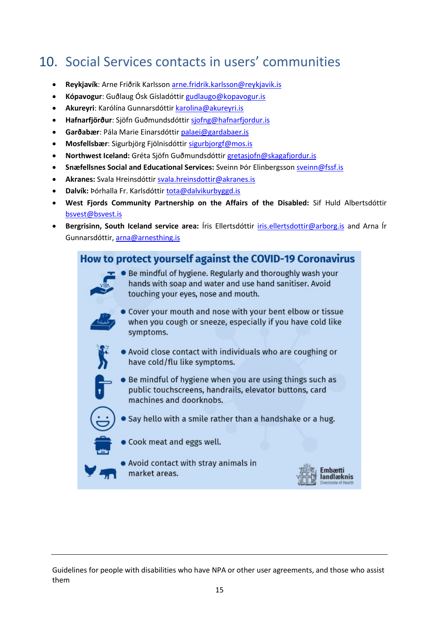### <span id="page-14-0"></span>10. Social Services contacts in users' communities

- **Reykjavík**: Arne Friðrik Karlsson [arne.fridrik.karlsson@reykjavik.is](mailto:arne.fridrik.karlsson@reykjavik.is)
- **Kópavogur**: Guðlaug Ósk Gísladóttir [gudlaugo@kopavogur.is](mailto:gudlaugo@kopavogur.is)
- **Akureyri**: Karólína Gunnarsdóttir [karolina@akureyri.is](mailto:karolina@akureyri.is)
- **Hafnarfjörður**: Sjöfn Guðmundsdóttir [sjofng@hafnarfjordur.is](mailto:sjofng@hafnarfjordur.is)
- **Garðabær**: Pála Marie Einarsdótti[r palaei@gardabaer.is](mailto:palaei@gardabaer.is)
- **Mosfellsbær**: Sigurbjörg Fjölnisdóttir [sigurbjorgf@mos.is](mailto:sigurbjorgf@mos.is)
- **Northwest Iceland:** Gréta Sjöfn Guðmundsdóttir [gretasjofn@skagafjordur.is](mailto:gretasjofn@skagafjordur.is)
- **Snæfellsnes Social and Educational Services:** Sveinn Þór Elinbergsson [sveinn@fssf.is](mailto:sveinn@fssf.is)
- **Akranes:** Svala Hreinsdótti[r svala.hreinsdottir@akranes.is](mailto:svala.hreinsdottir@akranes.is)
- **Dalvík:** Þórhalla Fr. Karlsdótti[r tota@dalvikurbyggd.is](mailto:tota@dalvikurbyggd.is)
- **West Fjords Community Partnership on the Affairs of the Disabled:** Sif Huld Albertsdóttir [bsvest@bsvest.is](mailto:bsvest@bsvest.is)
- **Bergrisinn, South Iceland service area:** Íris Ellertsdóttir [iris.ellertsdottir@arborg.is](mailto:iris.ellertsdottir@arborg.is) and Arna Ír Gunnarsdóttir, [arna@arnesthing.is](mailto:arna@arnesthing.is)

#### How to protect yourself against the COVID-19 Coronavirus



**Be mindful of hygiene. Regularly and thoroughly wash your** hands with soap and water and use hand sanitiser. Avoid touching your eyes, nose and mouth.



Cover your mouth and nose with your bent elbow or tissue when you cough or sneeze, especially if you have cold like symptoms.



- . Avoid close contact with individuals who are coughing or have cold/flu like symptoms.
- - Be mindful of hygiene when you are using things such as public touchscreens, handrails, elevator buttons, card machines and doorknobs.



• Say hello with a smile rather than a handshake or a hug.



- Cook meat and eggs well.
- Avoid contact with stray animals in market areas.

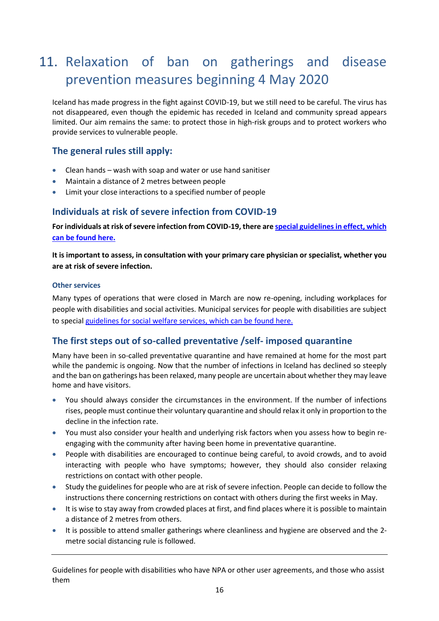### <span id="page-15-0"></span>11. Relaxation of ban on gatherings and disease prevention measures beginning 4 May 2020

Iceland has made progress in the fight against COVID-19, but we still need to be careful. The virus has not disappeared, even though the epidemic has receded in Iceland and community spread appears limited. Our aim remains the same: to protect those in high-risk groups and to protect workers who provide services to vulnerable people.

#### <span id="page-15-1"></span>**The general rules still apply:**

- Clean hands wash with soap and water or use hand sanitiser
- Maintain a distance of 2 metres between people
- Limit your close interactions to a specified number of people

#### <span id="page-15-2"></span>**Individuals at risk of severe infection from COVID-19**

**For individuals at risk of severe infection from COVID-19, there ar[e special guidelines in effect, which](https://www.landlaeknir.is/servlet/file/store93/item39475/Lei%C3%B0beiningar%20fyrir%20%C3%A1h%C3%A6ttuh%C3%B3pa%2005.05.2020b.pdf) [can be found here.](https://www.landlaeknir.is/servlet/file/store93/item39475/Lei%C3%B0beiningar%20fyrir%20%C3%A1h%C3%A6ttuh%C3%B3pa%2005.05.2020b.pdf)**

**It is important to assess, in consultation with your primary care physician or specialist, whether you are at risk of severe infection.**

#### <span id="page-15-3"></span>**Other services**

Many types of operations that were closed in March are now re-opening, including workplaces for people with disabilities and social activities. Municipal services for people with disabilities are subject to special [guidelines for social welfare services, which can be found here.](https://www.landlaeknir.is/servlet/file/store93/item41244/Lei%C3%B0beiningar_velfer%C3%B0ar%C3%BEj%C3%B3nusta%2027042020.pdf)

#### <span id="page-15-4"></span>**The first steps out of so-called preventative /self- imposed quarantine**

Many have been in so-called preventative quarantine and have remained at home for the most part while the pandemic is ongoing. Now that the number of infections in Iceland has declined so steeply and the ban on gatherings has been relaxed, many people are uncertain about whether they may leave home and have visitors.

- You should always consider the circumstances in the environment. If the number of infections rises, people must continue their voluntary quarantine and should relax it only in proportion to the decline in the infection rate.
- You must also consider your health and underlying risk factors when you assess how to begin reengaging with the community after having been home in preventative quarantine.
- People with disabilities are encouraged to continue being careful, to avoid crowds, and to avoid interacting with people who have symptoms; however, they should also consider relaxing restrictions on contact with other people.
- Study the guidelines for people who are at risk of severe infection. People can decide to follow the instructions there concerning restrictions on contact with others during the first weeks in May.
- It is wise to stay away from crowded places at first, and find places where it is possible to maintain a distance of 2 metres from others.
- It is possible to attend smaller gatherings where cleanliness and hygiene are observed and the 2 metre social distancing rule is followed.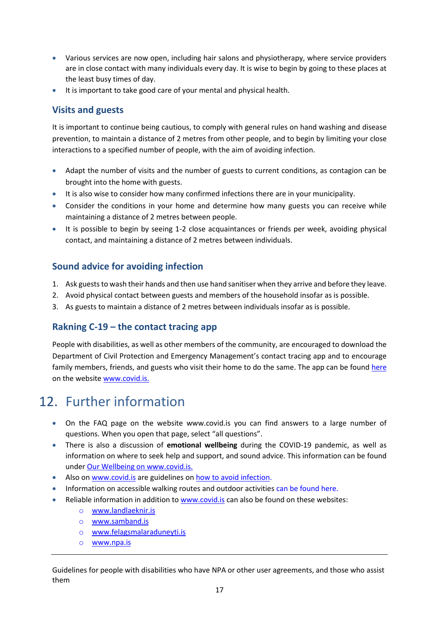- Various services are now open, including hair salons and physiotherapy, where service providers are in close contact with many individuals every day. It is wise to begin by going to these places at the least busy times of day.
- It is important to take good care of your mental and physical health.

#### <span id="page-16-0"></span>**Visits and guests**

It is important to continue being cautious, to comply with general rules on hand washing and disease prevention, to maintain a distance of 2 metres from other people, and to begin by limiting your close interactions to a specified number of people, with the aim of avoiding infection.

- Adapt the number of visits and the number of guests to current conditions, as contagion can be brought into the home with guests.
- It is also wise to consider how many confirmed infections there are in your municipality.
- Consider the conditions in your home and determine how many guests you can receive while maintaining a distance of 2 metres between people.
- It is possible to begin by seeing 1-2 close acquaintances or friends per week, avoiding physical contact, and maintaining a distance of 2 metres between individuals.

#### <span id="page-16-1"></span>**Sound advice for avoiding infection**

- 1. Ask guests to wash their hands and then use hand sanitiser when they arrive and before they leave.
- 2. Avoid physical contact between guests and members of the household insofar as is possible.
- 3. As guests to maintain a distance of 2 metres between individuals insofar as is possible.

#### <span id="page-16-2"></span>**Rakning C-19 – the contact tracing app**

People with disabilities, as well as other members of the community, are encouraged to download the Department of Civil Protection and Emergency Management's contact tracing app and to encourage family members, friends, and guests who visit their home to do the same. The app can be found [here](https://www.covid.is/app/is) on the website [www.covid.is.](http://www.covid.is/)

### <span id="page-16-3"></span>12. Further information

- On the FAQ page on the website www.covid.is you can find answers to a large number of questions. When you open that page, select "all questions".
- There is also a discussion of **emotional wellbeing** during the COVID-19 pandemic, as well as information on where to seek help and support, and sound advice. This information can be found under Our Wellbeing on [www.covid.is.](http://www.covid.is/)
- Also on www.covid. is are guidelines on how to avoid infection.
- Information on accessible walking routes and outdoor activities can be foun[d here.](http://www.thekkingarmidstod.is/)
- Reliable information in addition to [www.covid.is](http://www.covid.is/) can also be found on these websites:
	- o [www.landlaeknir.is](http://www.landlaeknir.is/)
	- o [www.samband.is](http://www.samband.is/)
	- o [www.felagsmalaraduneyti.is](http://www.felagsmalaraduneyti.is/)
	- o [www.npa.is](http://www.npa.is/)